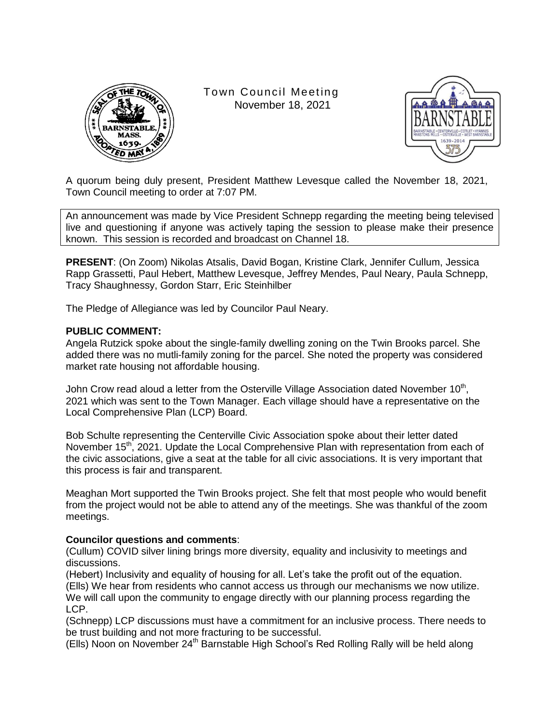

Town Council Meeting November 18, 2021



A quorum being duly present, President Matthew Levesque called the November 18, 2021, Town Council meeting to order at 7:07 PM.

An announcement was made by Vice President Schnepp regarding the meeting being televised live and questioning if anyone was actively taping the session to please make their presence known. This session is recorded and broadcast on Channel 18.

**PRESENT**: (On Zoom) Nikolas Atsalis, David Bogan, Kristine Clark, Jennifer Cullum, Jessica Rapp Grassetti, Paul Hebert, Matthew Levesque, Jeffrey Mendes, Paul Neary, Paula Schnepp, Tracy Shaughnessy, Gordon Starr, Eric Steinhilber

The Pledge of Allegiance was led by Councilor Paul Neary.

## **PUBLIC COMMENT:**

Angela Rutzick spoke about the single-family dwelling zoning on the Twin Brooks parcel. She added there was no mutli-family zoning for the parcel. She noted the property was considered market rate housing not affordable housing.

John Crow read aloud a letter from the Osterville Village Association dated November 10<sup>th</sup>, 2021 which was sent to the Town Manager. Each village should have a representative on the Local Comprehensive Plan (LCP) Board.

Bob Schulte representing the Centerville Civic Association spoke about their letter dated November 15<sup>th</sup>, 2021. Update the Local Comprehensive Plan with representation from each of the civic associations, give a seat at the table for all civic associations. It is very important that this process is fair and transparent.

Meaghan Mort supported the Twin Brooks project. She felt that most people who would benefit from the project would not be able to attend any of the meetings. She was thankful of the zoom meetings.

#### **Councilor questions and comments**:

(Cullum) COVID silver lining brings more diversity, equality and inclusivity to meetings and discussions.

(Hebert) Inclusivity and equality of housing for all. Let's take the profit out of the equation. (Ells) We hear from residents who cannot access us through our mechanisms we now utilize. We will call upon the community to engage directly with our planning process regarding the LCP.

(Schnepp) LCP discussions must have a commitment for an inclusive process. There needs to be trust building and not more fracturing to be successful.

(Ells) Noon on November 24<sup>th</sup> Barnstable High School's Red Rolling Rally will be held along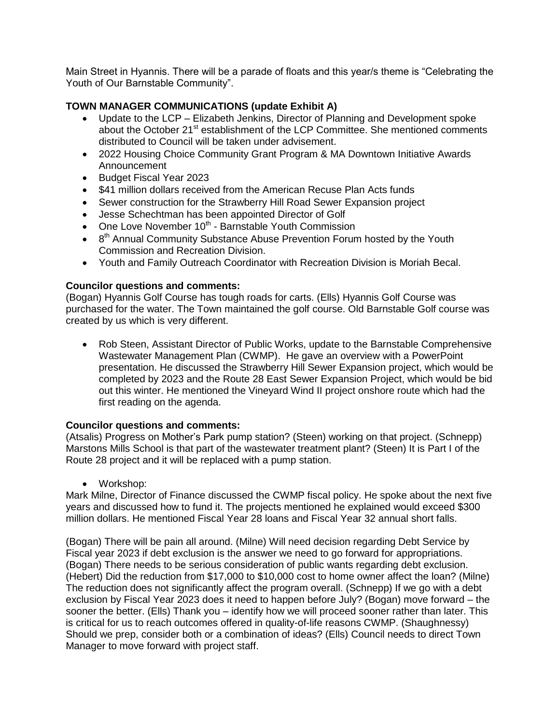Main Street in Hyannis. There will be a parade of floats and this year/s theme is "Celebrating the Youth of Our Barnstable Community".

# **TOWN MANAGER COMMUNICATIONS (update Exhibit A)**

- Update to the LCP Elizabeth Jenkins, Director of Planning and Development spoke about the October 21<sup>st</sup> establishment of the LCP Committee. She mentioned comments distributed to Council will be taken under advisement.
- 2022 Housing Choice Community Grant Program & MA Downtown Initiative Awards Announcement
- Budget Fiscal Year 2023
- \$41 million dollars received from the American Recuse Plan Acts funds
- Sewer construction for the Strawberry Hill Road Sewer Expansion project
- Jesse Schechtman has been appointed Director of Golf
- $\bullet$  One Love November 10<sup>th</sup> Barnstable Youth Commission
- $\bullet$  8<sup>th</sup> Annual Community Substance Abuse Prevention Forum hosted by the Youth Commission and Recreation Division.
- Youth and Family Outreach Coordinator with Recreation Division is Moriah Becal.

## **Councilor questions and comments:**

(Bogan) Hyannis Golf Course has tough roads for carts. (Ells) Hyannis Golf Course was purchased for the water. The Town maintained the golf course. Old Barnstable Golf course was created by us which is very different.

• Rob Steen, Assistant Director of Public Works, update to the Barnstable Comprehensive Wastewater Management Plan (CWMP). He gave an overview with a PowerPoint presentation. He discussed the Strawberry Hill Sewer Expansion project, which would be completed by 2023 and the Route 28 East Sewer Expansion Project, which would be bid out this winter. He mentioned the Vineyard Wind II project onshore route which had the first reading on the agenda.

#### **Councilor questions and comments:**

(Atsalis) Progress on Mother's Park pump station? (Steen) working on that project. (Schnepp) Marstons Mills School is that part of the wastewater treatment plant? (Steen) It is Part I of the Route 28 project and it will be replaced with a pump station.

• Workshop:

Mark Milne, Director of Finance discussed the CWMP fiscal policy. He spoke about the next five years and discussed how to fund it. The projects mentioned he explained would exceed \$300 million dollars. He mentioned Fiscal Year 28 loans and Fiscal Year 32 annual short falls.

(Bogan) There will be pain all around. (Milne) Will need decision regarding Debt Service by Fiscal year 2023 if debt exclusion is the answer we need to go forward for appropriations. (Bogan) There needs to be serious consideration of public wants regarding debt exclusion. (Hebert) Did the reduction from \$17,000 to \$10,000 cost to home owner affect the loan? (Milne) The reduction does not significantly affect the program overall. (Schnepp) If we go with a debt exclusion by Fiscal Year 2023 does it need to happen before July? (Bogan) move forward – the sooner the better. (Ells) Thank you – identify how we will proceed sooner rather than later. This is critical for us to reach outcomes offered in quality-of-life reasons CWMP. (Shaughnessy) Should we prep, consider both or a combination of ideas? (Ells) Council needs to direct Town Manager to move forward with project staff.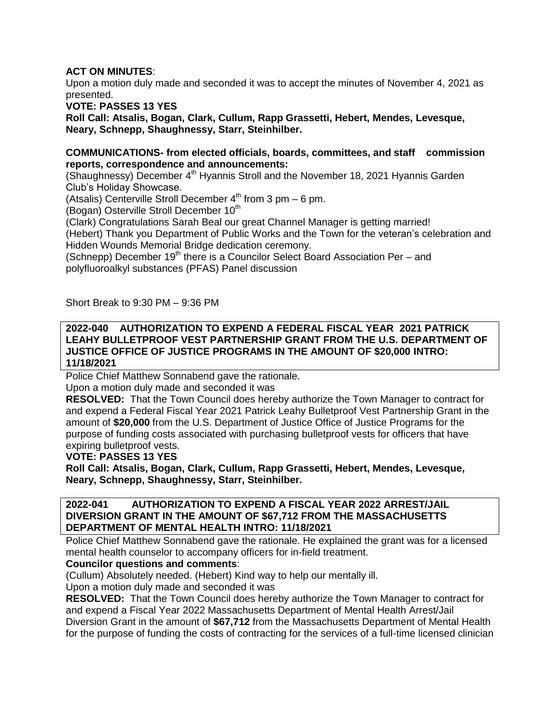# **ACT ON MINUTES**:

Upon a motion duly made and seconded it was to accept the minutes of November 4, 2021 as presented.

**VOTE: PASSES 13 YES**

**Roll Call: Atsalis, Bogan, Clark, Cullum, Rapp Grassetti, Hebert, Mendes, Levesque, Neary, Schnepp, Shaughnessy, Starr, Steinhilber.**

#### **COMMUNICATIONS- from elected officials, boards, committees, and staff commission reports, correspondence and announcements:**

(Shaughnessy) December  $4<sup>th</sup>$  Hyannis Stroll and the November 18, 2021 Hyannis Garden Club's Holiday Showcase.

(Atsalis) Centerville Stroll December  $4^{th}$  from 3 pm – 6 pm.

(Bogan) Osterville Stroll December 10<sup>th</sup>

(Clark) Congratulations Sarah Beal our great Channel Manager is getting married! (Hebert) Thank you Department of Public Works and the Town for the veteran's celebration and Hidden Wounds Memorial Bridge dedication ceremony.

(Schnepp) December  $19<sup>th</sup>$  there is a Councilor Select Board Association Per – and polyfluoroalkyl substances (PFAS) Panel discussion

Short Break to 9:30 PM – 9:36 PM

#### **2022-040 AUTHORIZATION TO EXPEND A FEDERAL FISCAL YEAR 2021 PATRICK LEAHY BULLETPROOF VEST PARTNERSHIP GRANT FROM THE U.S. DEPARTMENT OF JUSTICE OFFICE OF JUSTICE PROGRAMS IN THE AMOUNT OF \$20,000 INTRO: 11/18/2021**

Police Chief Matthew Sonnabend gave the rationale.

Upon a motion duly made and seconded it was

**RESOLVED:** That the Town Council does hereby authorize the Town Manager to contract for and expend a Federal Fiscal Year 2021 Patrick Leahy Bulletproof Vest Partnership Grant in the amount of **\$20,000** from the U.S. Department of Justice Office of Justice Programs for the purpose of funding costs associated with purchasing bulletproof vests for officers that have expiring bulletproof vests.

**VOTE: PASSES 13 YES**

**Roll Call: Atsalis, Bogan, Clark, Cullum, Rapp Grassetti, Hebert, Mendes, Levesque, Neary, Schnepp, Shaughnessy, Starr, Steinhilber.**

#### **2022-041 AUTHORIZATION TO EXPEND A FISCAL YEAR 2022 ARREST/JAIL DIVERSION GRANT IN THE AMOUNT OF \$67,712 FROM THE MASSACHUSETTS DEPARTMENT OF MENTAL HEALTH INTRO: 11/18/2021**

Police Chief Matthew Sonnabend gave the rationale. He explained the grant was for a licensed mental health counselor to accompany officers for in-field treatment.

# **Councilor questions and comments**:

(Cullum) Absolutely needed. (Hebert) Kind way to help our mentally ill.

Upon a motion duly made and seconded it was

**RESOLVED:** That the Town Council does hereby authorize the Town Manager to contract for and expend a Fiscal Year 2022 Massachusetts Department of Mental Health Arrest/Jail Diversion Grant in the amount of **\$67,712** from the Massachusetts Department of Mental Health for the purpose of funding the costs of contracting for the services of a full-time licensed clinician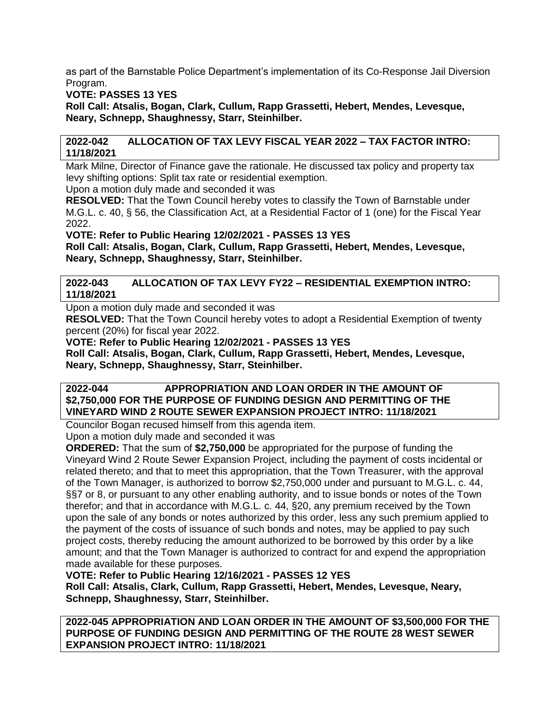as part of the Barnstable Police Department's implementation of its Co-Response Jail Diversion Program.

**VOTE: PASSES 13 YES**

**Roll Call: Atsalis, Bogan, Clark, Cullum, Rapp Grassetti, Hebert, Mendes, Levesque, Neary, Schnepp, Shaughnessy, Starr, Steinhilber.**

# **2022-042 ALLOCATION OF TAX LEVY FISCAL YEAR 2022 – TAX FACTOR INTRO: 11/18/2021**

Mark Milne, Director of Finance gave the rationale. He discussed tax policy and property tax levy shifting options: Split tax rate or residential exemption. Upon a motion duly made and seconded it was

**RESOLVED:** That the Town Council hereby votes to classify the Town of Barnstable under M.G.L. c. 40, § 56, the Classification Act, at a Residential Factor of 1 (one) for the Fiscal Year 2022.

**VOTE: Refer to Public Hearing 12/02/2021 - PASSES 13 YES**

**Roll Call: Atsalis, Bogan, Clark, Cullum, Rapp Grassetti, Hebert, Mendes, Levesque, Neary, Schnepp, Shaughnessy, Starr, Steinhilber.**

# **2022-043 ALLOCATION OF TAX LEVY FY22 – RESIDENTIAL EXEMPTION INTRO: 11/18/2021**

Upon a motion duly made and seconded it was

**RESOLVED:** That the Town Council hereby votes to adopt a Residential Exemption of twenty percent (20%) for fiscal year 2022.

**VOTE: Refer to Public Hearing 12/02/2021 - PASSES 13 YES**

**Roll Call: Atsalis, Bogan, Clark, Cullum, Rapp Grassetti, Hebert, Mendes, Levesque, Neary, Schnepp, Shaughnessy, Starr, Steinhilber.**

# **2022-044 APPROPRIATION AND LOAN ORDER IN THE AMOUNT OF \$2,750,000 FOR THE PURPOSE OF FUNDING DESIGN AND PERMITTING OF THE VINEYARD WIND 2 ROUTE SEWER EXPANSION PROJECT INTRO: 11/18/2021**

Councilor Bogan recused himself from this agenda item.

Upon a motion duly made and seconded it was

**ORDERED:** That the sum of **\$2,750,000** be appropriated for the purpose of funding the Vineyard Wind 2 Route Sewer Expansion Project, including the payment of costs incidental or related thereto; and that to meet this appropriation, that the Town Treasurer, with the approval of the Town Manager, is authorized to borrow \$2,750,000 under and pursuant to M.G.L. c. 44, §§7 or 8, or pursuant to any other enabling authority, and to issue bonds or notes of the Town therefor; and that in accordance with M.G.L. c. 44, §20, any premium received by the Town upon the sale of any bonds or notes authorized by this order, less any such premium applied to the payment of the costs of issuance of such bonds and notes, may be applied to pay such project costs, thereby reducing the amount authorized to be borrowed by this order by a like amount; and that the Town Manager is authorized to contract for and expend the appropriation made available for these purposes.

# **VOTE: Refer to Public Hearing 12/16/2021 - PASSES 12 YES**

**Roll Call: Atsalis, Clark, Cullum, Rapp Grassetti, Hebert, Mendes, Levesque, Neary, Schnepp, Shaughnessy, Starr, Steinhilber.**

**2022-045 APPROPRIATION AND LOAN ORDER IN THE AMOUNT OF \$3,500,000 FOR THE PURPOSE OF FUNDING DESIGN AND PERMITTING OF THE ROUTE 28 WEST SEWER EXPANSION PROJECT INTRO: 11/18/2021**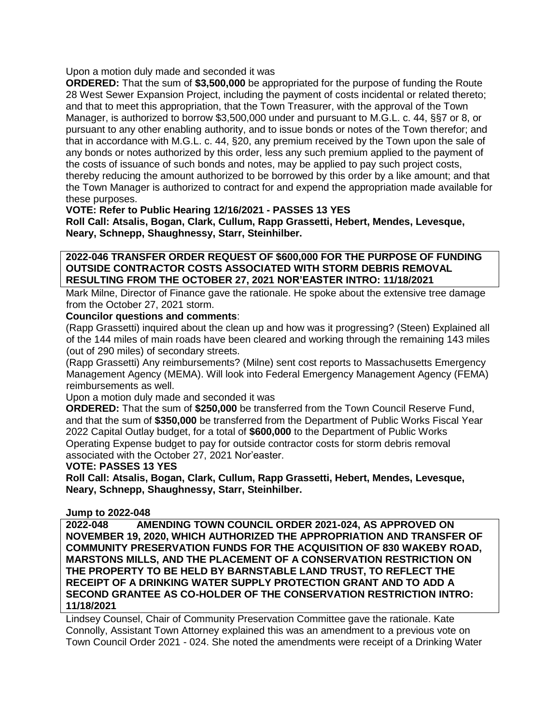Upon a motion duly made and seconded it was

**ORDERED:** That the sum of **\$3,500,000** be appropriated for the purpose of funding the Route 28 West Sewer Expansion Project, including the payment of costs incidental or related thereto; and that to meet this appropriation, that the Town Treasurer, with the approval of the Town Manager, is authorized to borrow \$3,500,000 under and pursuant to M.G.L. c. 44, §§7 or 8, or pursuant to any other enabling authority, and to issue bonds or notes of the Town therefor; and that in accordance with M.G.L. c. 44, §20, any premium received by the Town upon the sale of any bonds or notes authorized by this order, less any such premium applied to the payment of the costs of issuance of such bonds and notes, may be applied to pay such project costs, thereby reducing the amount authorized to be borrowed by this order by a like amount; and that the Town Manager is authorized to contract for and expend the appropriation made available for these purposes.

**VOTE: Refer to Public Hearing 12/16/2021 - PASSES 13 YES Roll Call: Atsalis, Bogan, Clark, Cullum, Rapp Grassetti, Hebert, Mendes, Levesque, Neary, Schnepp, Shaughnessy, Starr, Steinhilber.**

**2022-046 TRANSFER ORDER REQUEST OF \$600,000 FOR THE PURPOSE OF FUNDING OUTSIDE CONTRACTOR COSTS ASSOCIATED WITH STORM DEBRIS REMOVAL RESULTING FROM THE OCTOBER 27, 2021 NOR'EASTER INTRO: 11/18/2021**

Mark Milne, Director of Finance gave the rationale. He spoke about the extensive tree damage from the October 27, 2021 storm.

## **Councilor questions and comments**:

(Rapp Grassetti) inquired about the clean up and how was it progressing? (Steen) Explained all of the 144 miles of main roads have been cleared and working through the remaining 143 miles (out of 290 miles) of secondary streets.

(Rapp Grassetti) Any reimbursements? (Milne) sent cost reports to Massachusetts Emergency Management Agency (MEMA). Will look into Federal Emergency Management Agency (FEMA) reimbursements as well.

Upon a motion duly made and seconded it was

**ORDERED:** That the sum of **\$250,000** be transferred from the Town Council Reserve Fund, and that the sum of **\$350,000** be transferred from the Department of Public Works Fiscal Year 2022 Capital Outlay budget, for a total of **\$600,000** to the Department of Public Works Operating Expense budget to pay for outside contractor costs for storm debris removal associated with the October 27, 2021 Nor'easter.

**VOTE: PASSES 13 YES**

**Roll Call: Atsalis, Bogan, Clark, Cullum, Rapp Grassetti, Hebert, Mendes, Levesque, Neary, Schnepp, Shaughnessy, Starr, Steinhilber.**

#### **Jump to 2022-048**

**2022-048 AMENDING TOWN COUNCIL ORDER 2021-024, AS APPROVED ON NOVEMBER 19, 2020, WHICH AUTHORIZED THE APPROPRIATION AND TRANSFER OF COMMUNITY PRESERVATION FUNDS FOR THE ACQUISITION OF 830 WAKEBY ROAD, MARSTONS MILLS, AND THE PLACEMENT OF A CONSERVATION RESTRICTION ON THE PROPERTY TO BE HELD BY BARNSTABLE LAND TRUST, TO REFLECT THE RECEIPT OF A DRINKING WATER SUPPLY PROTECTION GRANT AND TO ADD A SECOND GRANTEE AS CO-HOLDER OF THE CONSERVATION RESTRICTION INTRO: 11/18/2021**

Lindsey Counsel, Chair of Community Preservation Committee gave the rationale. Kate Connolly, Assistant Town Attorney explained this was an amendment to a previous vote on Town Council Order 2021 - 024. She noted the amendments were receipt of a Drinking Water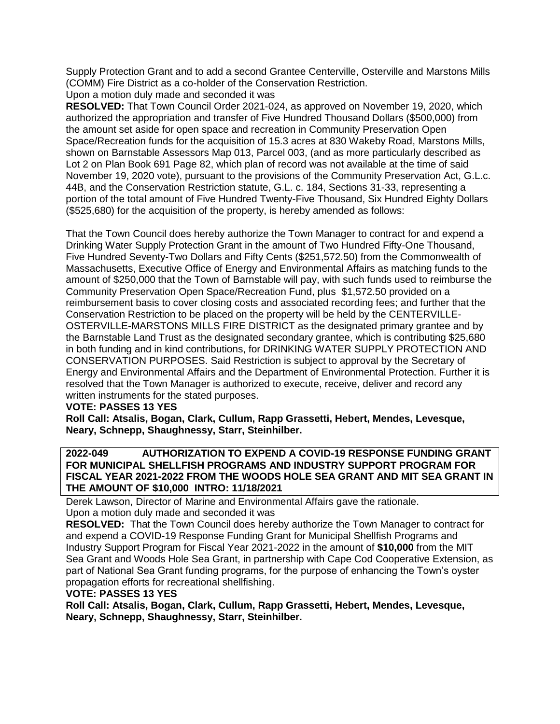Supply Protection Grant and to add a second Grantee Centerville, Osterville and Marstons Mills (COMM) Fire District as a co-holder of the Conservation Restriction.

Upon a motion duly made and seconded it was

**RESOLVED:** That Town Council Order 2021-024, as approved on November 19, 2020, which authorized the appropriation and transfer of Five Hundred Thousand Dollars (\$500,000) from the amount set aside for open space and recreation in Community Preservation Open Space/Recreation funds for the acquisition of 15.3 acres at 830 Wakeby Road, Marstons Mills, shown on Barnstable Assessors Map 013, Parcel 003, (and as more particularly described as Lot 2 on Plan Book 691 Page 82, which plan of record was not available at the time of said November 19, 2020 vote), pursuant to the provisions of the Community Preservation Act, G.L.c. 44B, and the Conservation Restriction statute, G.L. c. 184, Sections 31-33, representing a portion of the total amount of Five Hundred Twenty-Five Thousand, Six Hundred Eighty Dollars (\$525,680) for the acquisition of the property, is hereby amended as follows:

That the Town Council does hereby authorize the Town Manager to contract for and expend a Drinking Water Supply Protection Grant in the amount of Two Hundred Fifty-One Thousand, Five Hundred Seventy-Two Dollars and Fifty Cents (\$251,572.50) from the Commonwealth of Massachusetts, Executive Office of Energy and Environmental Affairs as matching funds to the amount of \$250,000 that the Town of Barnstable will pay, with such funds used to reimburse the Community Preservation Open Space/Recreation Fund, plus \$1,572.50 provided on a reimbursement basis to cover closing costs and associated recording fees; and further that the Conservation Restriction to be placed on the property will be held by the CENTERVILLE-OSTERVILLE-MARSTONS MILLS FIRE DISTRICT as the designated primary grantee and by the Barnstable Land Trust as the designated secondary grantee, which is contributing \$25,680 in both funding and in kind contributions, for DRINKING WATER SUPPLY PROTECTION AND CONSERVATION PURPOSES. Said Restriction is subject to approval by the Secretary of Energy and Environmental Affairs and the Department of Environmental Protection. Further it is resolved that the Town Manager is authorized to execute, receive, deliver and record any written instruments for the stated purposes.

#### **VOTE: PASSES 13 YES**

**Roll Call: Atsalis, Bogan, Clark, Cullum, Rapp Grassetti, Hebert, Mendes, Levesque, Neary, Schnepp, Shaughnessy, Starr, Steinhilber.**

## **2022-049 AUTHORIZATION TO EXPEND A COVID-19 RESPONSE FUNDING GRANT FOR MUNICIPAL SHELLFISH PROGRAMS AND INDUSTRY SUPPORT PROGRAM FOR FISCAL YEAR 2021-2022 FROM THE WOODS HOLE SEA GRANT AND MIT SEA GRANT IN THE AMOUNT OF \$10,000 INTRO: 11/18/2021**

Derek Lawson, Director of Marine and Environmental Affairs gave the rationale.

# Upon a motion duly made and seconded it was

**RESOLVED:** That the Town Council does hereby authorize the Town Manager to contract for and expend a COVID-19 Response Funding Grant for Municipal Shellfish Programs and Industry Support Program for Fiscal Year 2021-2022 in the amount of **\$10,000** from the MIT Sea Grant and Woods Hole Sea Grant, in partnership with Cape Cod Cooperative Extension, as part of National Sea Grant funding programs, for the purpose of enhancing the Town's oyster propagation efforts for recreational shellfishing.

#### **VOTE: PASSES 13 YES**

**Roll Call: Atsalis, Bogan, Clark, Cullum, Rapp Grassetti, Hebert, Mendes, Levesque, Neary, Schnepp, Shaughnessy, Starr, Steinhilber.**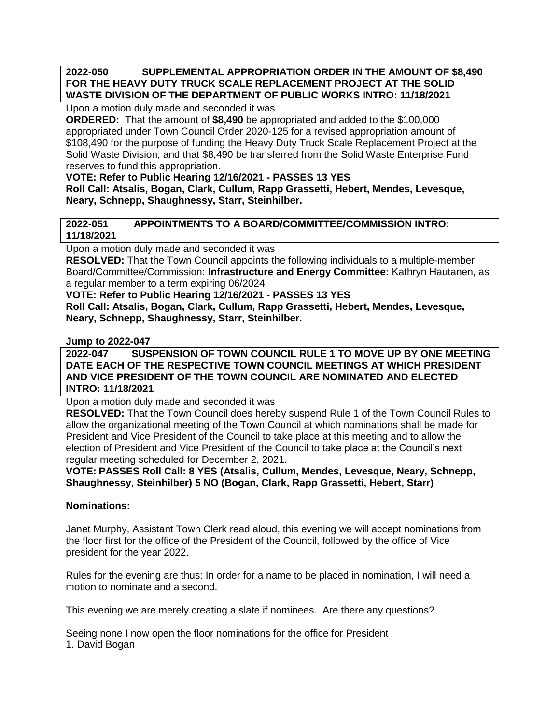# **2022-050 SUPPLEMENTAL APPROPRIATION ORDER IN THE AMOUNT OF \$8,490 FOR THE HEAVY DUTY TRUCK SCALE REPLACEMENT PROJECT AT THE SOLID WASTE DIVISION OF THE DEPARTMENT OF PUBLIC WORKS INTRO: 11/18/2021**

Upon a motion duly made and seconded it was

**ORDERED:** That the amount of **\$8,490** be appropriated and added to the \$100,000 appropriated under Town Council Order 2020-125 for a revised appropriation amount of \$108,490 for the purpose of funding the Heavy Duty Truck Scale Replacement Project at the Solid Waste Division; and that \$8,490 be transferred from the Solid Waste Enterprise Fund reserves to fund this appropriation.

# **VOTE: Refer to Public Hearing 12/16/2021 - PASSES 13 YES**

**Roll Call: Atsalis, Bogan, Clark, Cullum, Rapp Grassetti, Hebert, Mendes, Levesque, Neary, Schnepp, Shaughnessy, Starr, Steinhilber.**

# **2022-051 APPOINTMENTS TO A BOARD/COMMITTEE/COMMISSION INTRO: 11/18/2021**

Upon a motion duly made and seconded it was

**RESOLVED:** That the Town Council appoints the following individuals to a multiple-member Board/Committee/Commission: **Infrastructure and Energy Committee:** Kathryn Hautanen, as a regular member to a term expiring 06/2024

**VOTE: Refer to Public Hearing 12/16/2021 - PASSES 13 YES**

**Roll Call: Atsalis, Bogan, Clark, Cullum, Rapp Grassetti, Hebert, Mendes, Levesque, Neary, Schnepp, Shaughnessy, Starr, Steinhilber.**

**Jump to 2022-047**

**2022-047 SUSPENSION OF TOWN COUNCIL RULE 1 TO MOVE UP BY ONE MEETING DATE EACH OF THE RESPECTIVE TOWN COUNCIL MEETINGS AT WHICH PRESIDENT AND VICE PRESIDENT OF THE TOWN COUNCIL ARE NOMINATED AND ELECTED INTRO: 11/18/2021**

Upon a motion duly made and seconded it was

**RESOLVED:** That the Town Council does hereby suspend Rule 1 of the Town Council Rules to allow the organizational meeting of the Town Council at which nominations shall be made for President and Vice President of the Council to take place at this meeting and to allow the election of President and Vice President of the Council to take place at the Council's next regular meeting scheduled for December 2, 2021.

**VOTE: PASSES Roll Call: 8 YES (Atsalis, Cullum, Mendes, Levesque, Neary, Schnepp, Shaughnessy, Steinhilber) 5 NO (Bogan, Clark, Rapp Grassetti, Hebert, Starr)**

# **Nominations:**

Janet Murphy, Assistant Town Clerk read aloud, this evening we will accept nominations from the floor first for the office of the President of the Council, followed by the office of Vice president for the year 2022.

Rules for the evening are thus: In order for a name to be placed in nomination, I will need a motion to nominate and a second.

This evening we are merely creating a slate if nominees. Are there any questions?

Seeing none I now open the floor nominations for the office for President 1. David Bogan